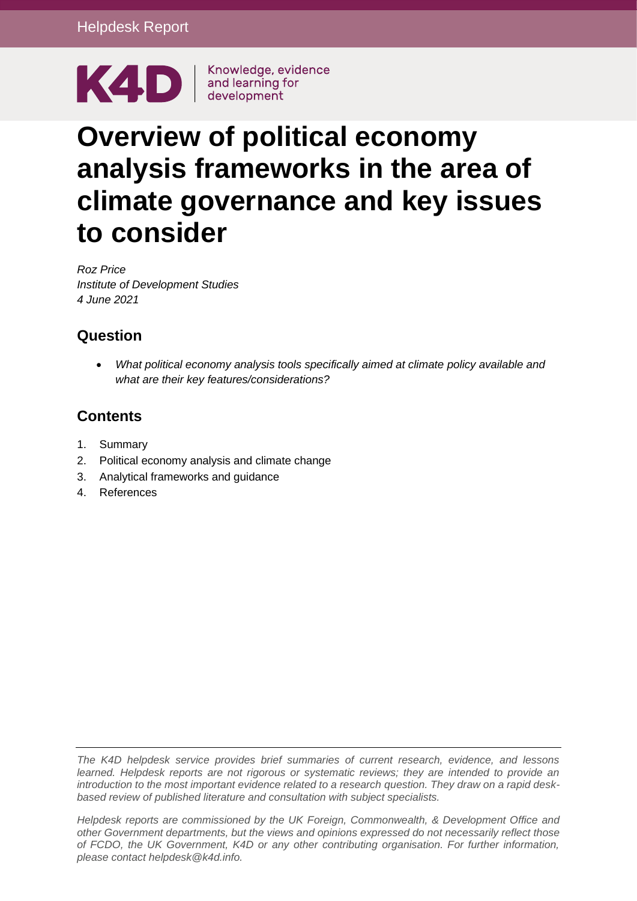

# **Overview of political economy analysis frameworks in the area of climate governance and key issues to consider**

*Roz Price Institute of Development Studies 4 June 2021*

# **Question**

• *What political economy analysis tools specifically aimed at climate policy available and what are their key features/considerations?*

# **Contents**

- 1. [Summary](#page-1-0)
- 2. [Political economy analysis and climate change](#page-2-0)
- 3. [Analytical frameworks and guidance](#page-4-0)
- 4. [References](#page-14-0)

*The K4D helpdesk service provides brief summaries of current research, evidence, and lessons learned. Helpdesk reports are not rigorous or systematic reviews; they are intended to provide an introduction to the most important evidence related to a research question. They draw on a rapid deskbased review of published literature and consultation with subject specialists.* 

*Helpdesk reports are commissioned by the UK Foreign, Commonwealth, & Development Office and other Government departments, but the views and opinions expressed do not necessarily reflect those of FCDO, the UK Government, K4D or any other contributing organisation. For further information, please contact helpdesk@k4d.info.*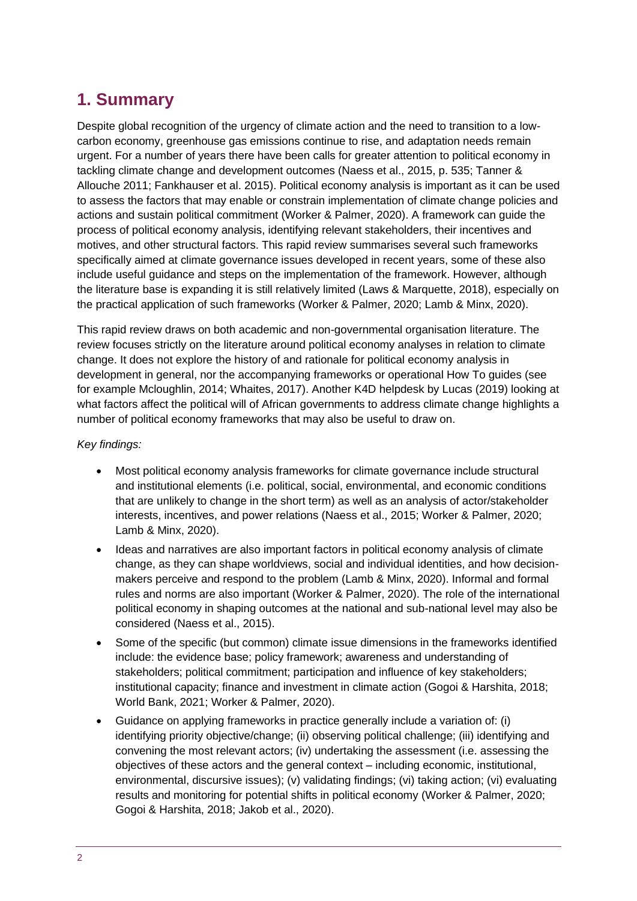# <span id="page-1-0"></span>**1. Summary**

Despite global recognition of the urgency of climate action and the need to transition to a lowcarbon economy, greenhouse gas emissions continue to rise, and adaptation needs remain urgent. For a number of years there have been calls for greater attention to political economy in tackling climate change and development outcomes (Naess et al., 2015, p. 535; Tanner & Allouche 2011; Fankhauser et al. 2015). Political economy analysis is important as it can be used to assess the factors that may enable or constrain implementation of climate change policies and actions and sustain political commitment (Worker & Palmer, 2020). A framework can guide the process of political economy analysis, identifying relevant stakeholders, their incentives and motives, and other structural factors. This rapid review summarises several such frameworks specifically aimed at climate governance issues developed in recent years, some of these also include useful guidance and steps on the implementation of the framework. However, although the literature base is expanding it is still relatively limited (Laws & Marquette, 2018), especially on the practical application of such frameworks (Worker & Palmer, 2020; Lamb & Minx, 2020).

This rapid review draws on both academic and non-governmental organisation literature. The review focuses strictly on the literature around political economy analyses in relation to climate change. It does not explore the history of and rationale for political economy analysis in development in general, nor the accompanying frameworks or operational How To guides (see for example Mcloughlin, 2014; Whaites, 2017). Another K4D helpdesk by Lucas (2019) looking at what factors affect the political will of African governments to address climate change highlights a number of political economy frameworks that may also be useful to draw on.

#### *Key findings:*

- Most political economy analysis frameworks for climate governance include structural and institutional elements (i.e. political, social, environmental, and economic conditions that are unlikely to change in the short term) as well as an analysis of actor/stakeholder interests, incentives, and power relations (Naess et al., 2015; Worker & Palmer, 2020; Lamb & Minx, 2020).
- Ideas and narratives are also important factors in political economy analysis of climate change, as they can shape worldviews, social and individual identities, and how decisionmakers perceive and respond to the problem (Lamb & Minx, 2020). Informal and formal rules and norms are also important (Worker & Palmer, 2020). The role of the international political economy in shaping outcomes at the national and sub-national level may also be considered (Naess et al., 2015).
- Some of the specific (but common) climate issue dimensions in the frameworks identified include: the evidence base; policy framework; awareness and understanding of stakeholders; political commitment; participation and influence of key stakeholders; institutional capacity; finance and investment in climate action (Gogoi & Harshita, 2018; World Bank, 2021; Worker & Palmer, 2020).
- Guidance on applying frameworks in practice generally include a variation of: (i) identifying priority objective/change; (ii) observing political challenge; (iii) identifying and convening the most relevant actors; (iv) undertaking the assessment (i.e. assessing the objectives of these actors and the general context – including economic, institutional, environmental, discursive issues); (v) validating findings; (vi) taking action; (vi) evaluating results and monitoring for potential shifts in political economy (Worker & Palmer, 2020; Gogoi & Harshita, 2018; Jakob et al., 2020).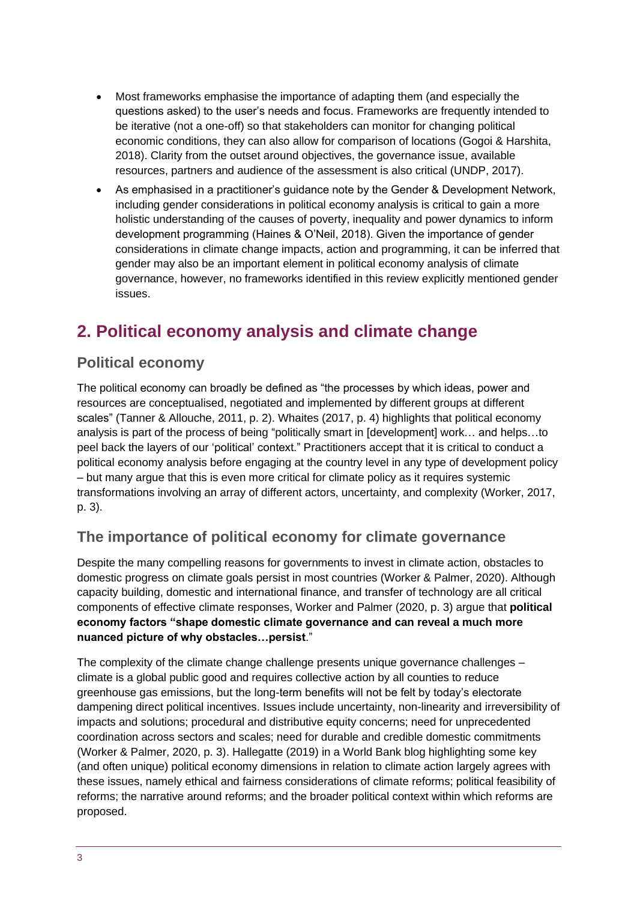- Most frameworks emphasise the importance of adapting them (and especially the questions asked) to the user's needs and focus. Frameworks are frequently intended to be iterative (not a one-off) so that stakeholders can monitor for changing political economic conditions, they can also allow for comparison of locations (Gogoi & Harshita, 2018). Clarity from the outset around objectives, the governance issue, available resources, partners and audience of the assessment is also critical (UNDP, 2017).
- As emphasised in a practitioner's guidance note by the Gender & Development Network, including gender considerations in political economy analysis is critical to gain a more holistic understanding of the causes of poverty, inequality and power dynamics to inform development programming (Haines & O'Neil, 2018). Given the importance of gender considerations in climate change impacts, action and programming, it can be inferred that gender may also be an important element in political economy analysis of climate governance, however, no frameworks identified in this review explicitly mentioned gender issues.

# <span id="page-2-0"></span>**2. Political economy analysis and climate change**

#### **Political economy**

The political economy can broadly be defined as "the processes by which ideas, power and resources are conceptualised, negotiated and implemented by different groups at different scales" (Tanner & Allouche, 2011, p. 2). Whaites (2017, p. 4) highlights that political economy analysis is part of the process of being "politically smart in [development] work… and helps…to peel back the layers of our 'political' context." Practitioners accept that it is critical to conduct a political economy analysis before engaging at the country level in any type of development policy – but many argue that this is even more critical for climate policy as it requires systemic transformations involving an array of different actors, uncertainty, and complexity (Worker, 2017, p. 3).

### **The importance of political economy for climate governance**

Despite the many compelling reasons for governments to invest in climate action, obstacles to domestic progress on climate goals persist in most countries (Worker & Palmer, 2020). Although capacity building, domestic and international finance, and transfer of technology are all critical components of effective climate responses, Worker and Palmer (2020, p. 3) argue that **political economy factors "shape domestic climate governance and can reveal a much more nuanced picture of why obstacles…persist**."

The complexity of the climate change challenge presents unique governance challenges – climate is a global public good and requires collective action by all counties to reduce greenhouse gas emissions, but the long-term benefits will not be felt by today's electorate dampening direct political incentives. Issues include uncertainty, non-linearity and irreversibility of impacts and solutions; procedural and distributive equity concerns; need for unprecedented coordination across sectors and scales; need for durable and credible domestic commitments (Worker & Palmer, 2020, p. 3). Hallegatte (2019) in a World Bank blog highlighting some key (and often unique) political economy dimensions in relation to climate action largely agrees with these issues, namely ethical and fairness considerations of climate reforms; political feasibility of reforms; the narrative around reforms; and the broader political context within which reforms are proposed.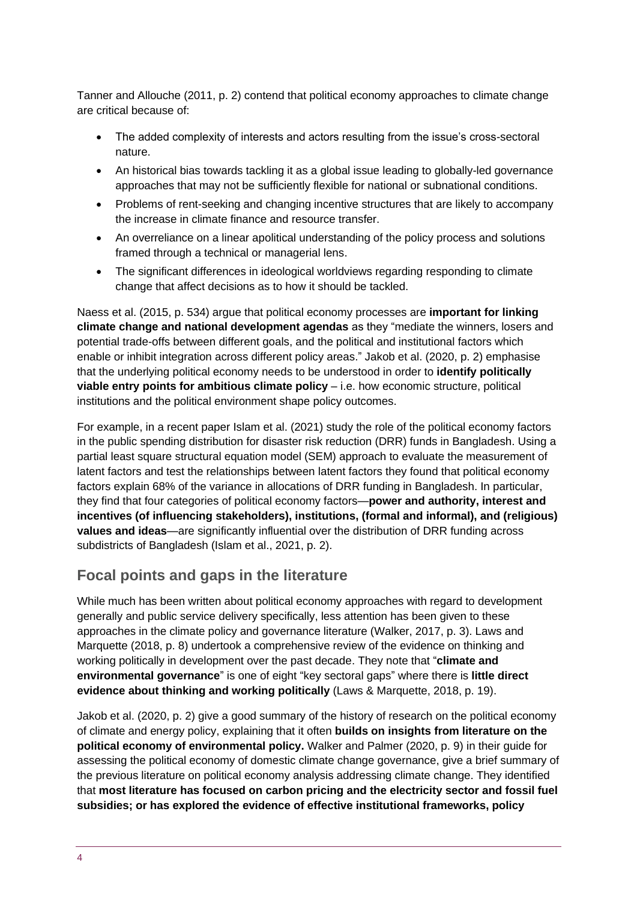Tanner and Allouche (2011, p. 2) contend that political economy approaches to climate change are critical because of:

- The added complexity of interests and actors resulting from the issue's cross-sectoral nature.
- An historical bias towards tackling it as a global issue leading to globally-led governance approaches that may not be sufficiently flexible for national or subnational conditions.
- Problems of rent-seeking and changing incentive structures that are likely to accompany the increase in climate finance and resource transfer.
- An overreliance on a linear apolitical understanding of the policy process and solutions framed through a technical or managerial lens.
- The significant differences in ideological worldviews regarding responding to climate change that affect decisions as to how it should be tackled.

Naess et al. (2015, p. 534) argue that political economy processes are **important for linking climate change and national development agendas** as they "mediate the winners, losers and potential trade-offs between different goals, and the political and institutional factors which enable or inhibit integration across different policy areas." Jakob et al. (2020, p. 2) emphasise that the underlying political economy needs to be understood in order to **identify politically viable entry points for ambitious climate policy** – i.e. how economic structure, political institutions and the political environment shape policy outcomes.

For example, in a recent paper Islam et al. (2021) study the role of the political economy factors in the public spending distribution for disaster risk reduction (DRR) funds in Bangladesh. Using a partial least square structural equation model (SEM) approach to evaluate the measurement of latent factors and test the relationships between latent factors they found that political economy factors explain 68% of the variance in allocations of DRR funding in Bangladesh. In particular, they find that four categories of political economy factors—**power and authority, interest and incentives (of influencing stakeholders), institutions, (formal and informal), and (religious) values and ideas**—are significantly influential over the distribution of DRR funding across subdistricts of Bangladesh (Islam et al., 2021, p. 2).

#### **Focal points and gaps in the literature**

While much has been written about political economy approaches with regard to development generally and public service delivery specifically, less attention has been given to these approaches in the climate policy and governance literature (Walker, 2017, p. 3). Laws and Marquette (2018, p. 8) undertook a comprehensive review of the evidence on thinking and working politically in development over the past decade. They note that "**climate and environmental governance**" is one of eight "key sectoral gaps" where there is **little direct evidence about thinking and working politically** (Laws & Marquette, 2018, p. 19).

Jakob et al. (2020, p. 2) give a good summary of the history of research on the political economy of climate and energy policy, explaining that it often **builds on insights from literature on the political economy of environmental policy.** Walker and Palmer (2020, p. 9) in their guide for assessing the political economy of domestic climate change governance, give a brief summary of the previous literature on political economy analysis addressing climate change. They identified that **most literature has focused on carbon pricing and the electricity sector and fossil fuel subsidies; or has explored the evidence of effective institutional frameworks, policy**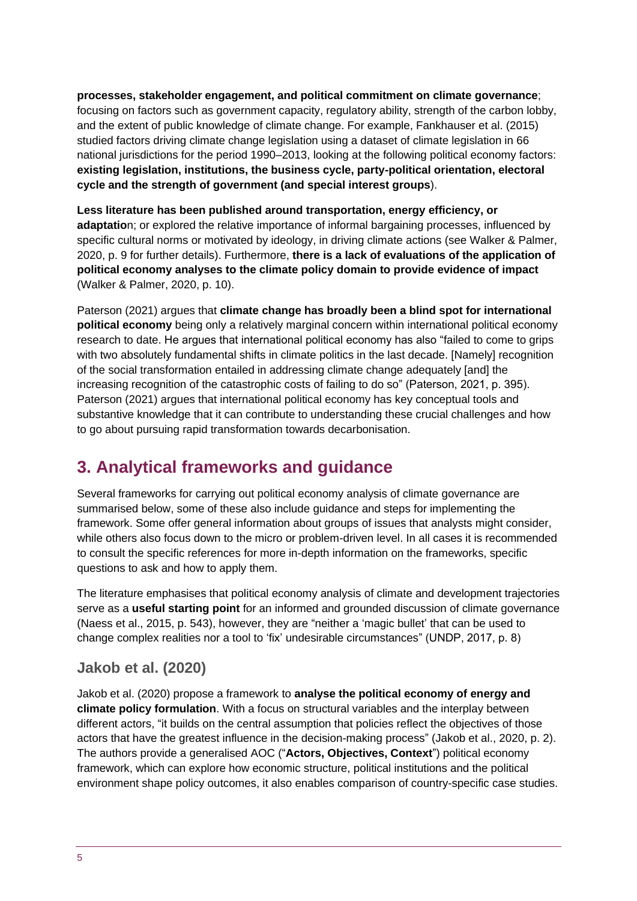**processes, stakeholder engagement, and political commitment on climate governance**; focusing on factors such as government capacity, regulatory ability, strength of the carbon lobby, and the extent of public knowledge of climate change. For example, Fankhauser et al. (2015) studied factors driving climate change legislation using a dataset of climate legislation in 66 national jurisdictions for the period 1990–2013, looking at the following political economy factors: **existing legislation, institutions, the business cycle, party-political orientation, electoral cycle and the strength of government (and special interest groups**).

**Less literature has been published around transportation, energy efficiency, or adaptatio**n; or explored the relative importance of informal bargaining processes, influenced by specific cultural norms or motivated by ideology, in driving climate actions (see Walker & Palmer, 2020, p. 9 for further details). Furthermore, **there is a lack of evaluations of the application of political economy analyses to the climate policy domain to provide evidence of impact** (Walker & Palmer, 2020, p. 10).

Paterson (2021) argues that **climate change has broadly been a blind spot for international political economy** being only a relatively marginal concern within international political economy research to date. He argues that international political economy has also "failed to come to grips with two absolutely fundamental shifts in climate politics in the last decade. [Namely] recognition of the social transformation entailed in addressing climate change adequately [and] the increasing recognition of the catastrophic costs of failing to do so" (Paterson, 2021, p. 395). Paterson (2021) argues that international political economy has key conceptual tools and substantive knowledge that it can contribute to understanding these crucial challenges and how to go about pursuing rapid transformation towards decarbonisation.

# <span id="page-4-0"></span>**3. Analytical frameworks and guidance**

Several frameworks for carrying out political economy analysis of climate governance are summarised below, some of these also include guidance and steps for implementing the framework. Some offer general information about groups of issues that analysts might consider, while others also focus down to the micro or problem-driven level. In all cases it is recommended to consult the specific references for more in-depth information on the frameworks, specific questions to ask and how to apply them.

The literature emphasises that political economy analysis of climate and development trajectories serve as a **useful starting point** for an informed and grounded discussion of climate governance (Naess et al., 2015, p. 543), however, they are "neither a 'magic bullet' that can be used to change complex realities nor a tool to 'fix' undesirable circumstances" (UNDP, 2017, p. 8)

#### **Jakob et al. (2020)**

Jakob et al. (2020) propose a framework to **analyse the political economy of energy and climate policy formulation**. With a focus on structural variables and the interplay between different actors, "it builds on the central assumption that policies reflect the objectives of those actors that have the greatest influence in the decision-making process" (Jakob et al., 2020, p. 2). The authors provide a generalised AOC ("**Actors, Objectives, Context**") political economy framework, which can explore how economic structure, political institutions and the political environment shape policy outcomes, it also enables comparison of country-specific case studies.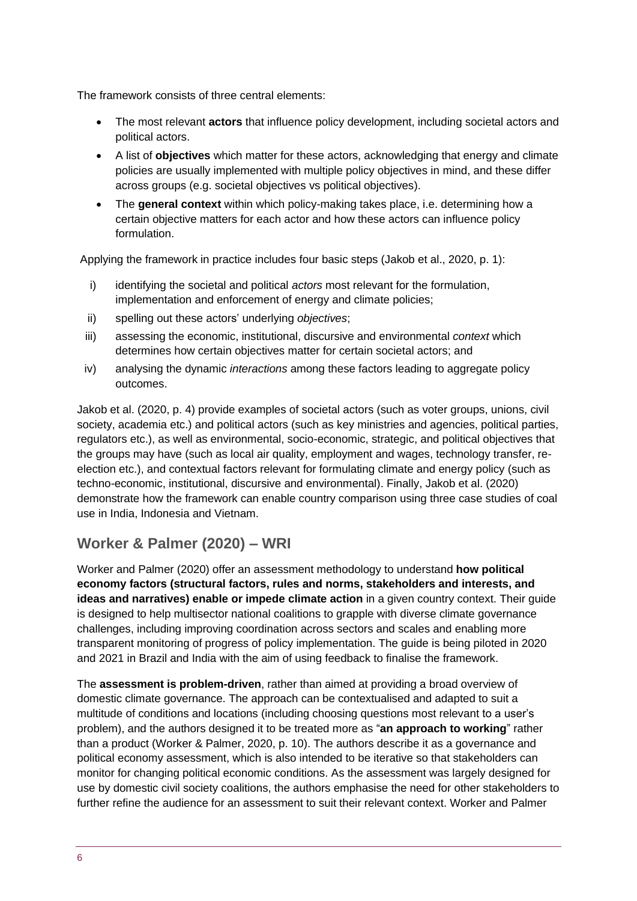The framework consists of three central elements:

- The most relevant **actors** that influence policy development, including societal actors and political actors.
- A list of **objectives** which matter for these actors, acknowledging that energy and climate policies are usually implemented with multiple policy objectives in mind, and these differ across groups (e.g. societal objectives vs political objectives).
- The **general context** within which policy-making takes place, i.e. determining how a certain objective matters for each actor and how these actors can influence policy formulation.

Applying the framework in practice includes four basic steps (Jakob et al., 2020, p. 1):

- i) identifying the societal and political *actors* most relevant for the formulation, implementation and enforcement of energy and climate policies;
- ii) spelling out these actors' underlying *objectives*;
- iii) assessing the economic, institutional, discursive and environmental *context* which determines how certain objectives matter for certain societal actors; and
- iv) analysing the dynamic *interactions* among these factors leading to aggregate policy outcomes.

Jakob et al. (2020, p. 4) provide examples of societal actors (such as voter groups, unions, civil society, academia etc.) and political actors (such as key ministries and agencies, political parties, regulators etc.), as well as environmental, socio-economic, strategic, and political objectives that the groups may have (such as local air quality, employment and wages, technology transfer, reelection etc.), and contextual factors relevant for formulating climate and energy policy (such as techno-economic, institutional, discursive and environmental). Finally, Jakob et al. (2020) demonstrate how the framework can enable country comparison using three case studies of coal use in India, Indonesia and Vietnam.

## **Worker & Palmer (2020) – WRI**

Worker and Palmer (2020) offer an assessment methodology to understand **how political economy factors (structural factors, rules and norms, stakeholders and interests, and ideas and narratives) enable or impede climate action** in a given country context. Their guide is designed to help multisector national coalitions to grapple with diverse climate governance challenges, including improving coordination across sectors and scales and enabling more transparent monitoring of progress of policy implementation. The guide is being piloted in 2020 and 2021 in Brazil and India with the aim of using feedback to finalise the framework.

The **assessment is problem-driven**, rather than aimed at providing a broad overview of domestic climate governance. The approach can be contextualised and adapted to suit a multitude of conditions and locations (including choosing questions most relevant to a user's problem), and the authors designed it to be treated more as "**an approach to working**" rather than a product (Worker & Palmer, 2020, p. 10). The authors describe it as a governance and political economy assessment, which is also intended to be iterative so that stakeholders can monitor for changing political economic conditions. As the assessment was largely designed for use by domestic civil society coalitions, the authors emphasise the need for other stakeholders to further refine the audience for an assessment to suit their relevant context. Worker and Palmer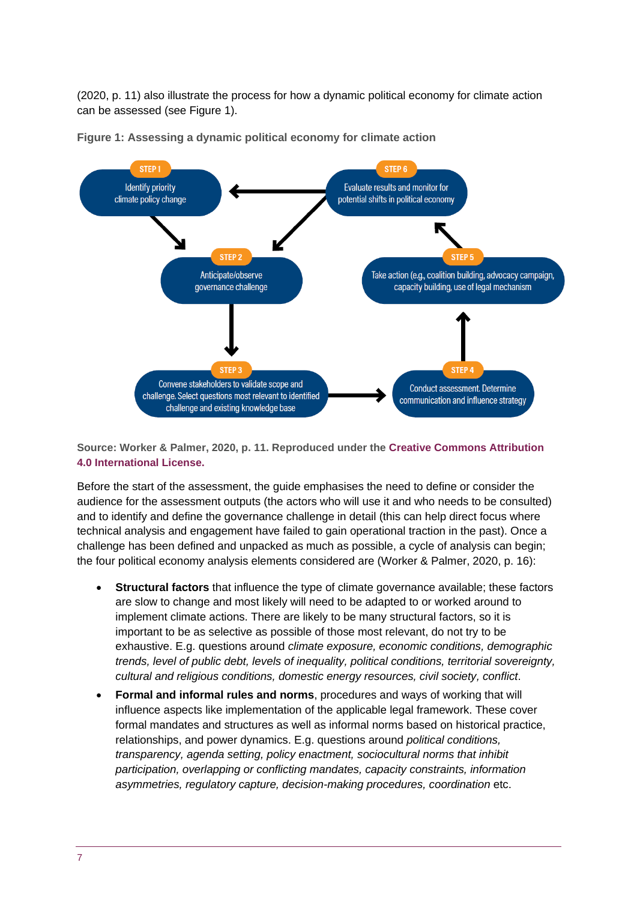(2020, p. 11) also illustrate the process for how a dynamic political economy for climate action can be assessed (see Figure 1).



**Figure 1: Assessing a dynamic political economy for climate action**

**Source: Worker & Palmer, 2020, p. 11. Reproduced under the [Creative Commons Attribution](http://creativecommons.org/licenses/by/4.0/)  [4.0 International License.](http://creativecommons.org/licenses/by/4.0/)**

Before the start of the assessment, the guide emphasises the need to define or consider the audience for the assessment outputs (the actors who will use it and who needs to be consulted) and to identify and define the governance challenge in detail (this can help direct focus where technical analysis and engagement have failed to gain operational traction in the past). Once a challenge has been defined and unpacked as much as possible, a cycle of analysis can begin; the four political economy analysis elements considered are (Worker & Palmer, 2020, p. 16):

- **Structural factors** that influence the type of climate governance available; these factors are slow to change and most likely will need to be adapted to or worked around to implement climate actions. There are likely to be many structural factors, so it is important to be as selective as possible of those most relevant, do not try to be exhaustive. E.g. questions around *climate exposure, economic conditions, demographic trends, level of public debt, levels of inequality, political conditions, territorial sovereignty, cultural and religious conditions, domestic energy resources, civil society, conflict*.
- **Formal and informal rules and norms**, procedures and ways of working that will influence aspects like implementation of the applicable legal framework. These cover formal mandates and structures as well as informal norms based on historical practice, relationships, and power dynamics. E.g. questions around *political conditions, transparency, agenda setting, policy enactment, sociocultural norms that inhibit participation, overlapping or conflicting mandates, capacity constraints, information asymmetries, regulatory capture, decision-making procedures, coordination* etc.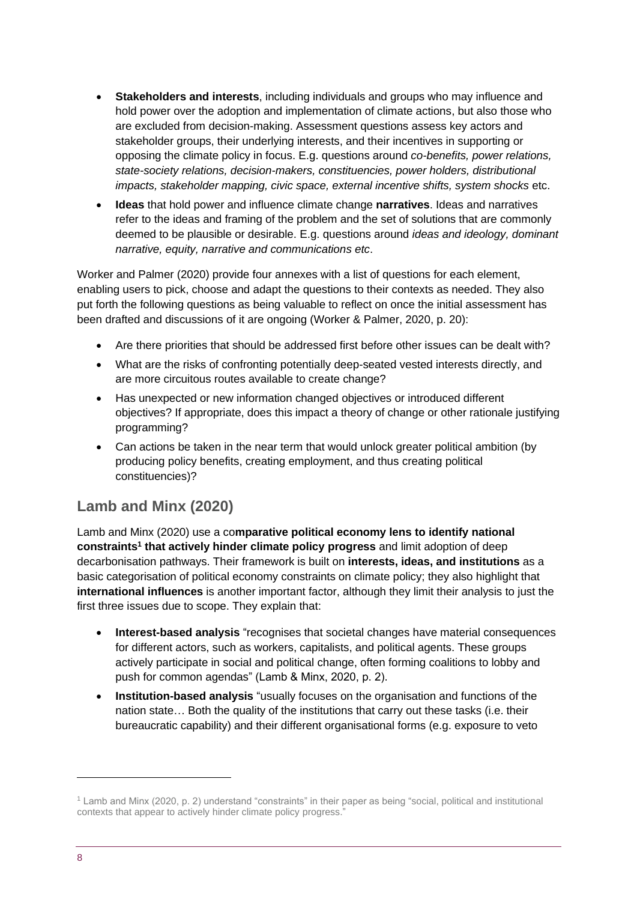- **Stakeholders and interests**, including individuals and groups who may influence and hold power over the adoption and implementation of climate actions, but also those who are excluded from decision-making. Assessment questions assess key actors and stakeholder groups, their underlying interests, and their incentives in supporting or opposing the climate policy in focus. E.g. questions around *co-benefits, power relations, state-society relations, decision-makers, constituencies, power holders, distributional impacts, stakeholder mapping, civic space, external incentive shifts, system shocks* etc.
- **Ideas** that hold power and influence climate change **narratives**. Ideas and narratives refer to the ideas and framing of the problem and the set of solutions that are commonly deemed to be plausible or desirable. E.g. questions around *ideas and ideology, dominant narrative, equity, narrative and communications etc*.

Worker and Palmer (2020) provide four annexes with a list of questions for each element, enabling users to pick, choose and adapt the questions to their contexts as needed. They also put forth the following questions as being valuable to reflect on once the initial assessment has been drafted and discussions of it are ongoing (Worker & Palmer, 2020, p. 20):

- Are there priorities that should be addressed first before other issues can be dealt with?
- What are the risks of confronting potentially deep-seated vested interests directly, and are more circuitous routes available to create change?
- Has unexpected or new information changed objectives or introduced different objectives? If appropriate, does this impact a theory of change or other rationale justifying programming?
- Can actions be taken in the near term that would unlock greater political ambition (by producing policy benefits, creating employment, and thus creating political constituencies)?

#### **Lamb and Minx (2020)**

Lamb and Minx (2020) use a co**mparative political economy lens to identify national constraints<sup>1</sup> that actively hinder climate policy progress** and limit adoption of deep decarbonisation pathways. Their framework is built on **interests, ideas, and institutions** as a basic categorisation of political economy constraints on climate policy; they also highlight that **international influences** is another important factor, although they limit their analysis to just the first three issues due to scope. They explain that:

- **Interest-based analysis** "recognises that societal changes have material consequences for different actors, such as workers, capitalists, and political agents. These groups actively participate in social and political change, often forming coalitions to lobby and push for common agendas" (Lamb & Minx, 2020, p. 2).
- **Institution-based analysis** "usually focuses on the organisation and functions of the nation state… Both the quality of the institutions that carry out these tasks (i.e. their bureaucratic capability) and their different organisational forms (e.g. exposure to veto

<sup>1</sup> Lamb and Minx (2020, p. 2) understand "constraints" in their paper as being "social, political and institutional contexts that appear to actively hinder climate policy progress."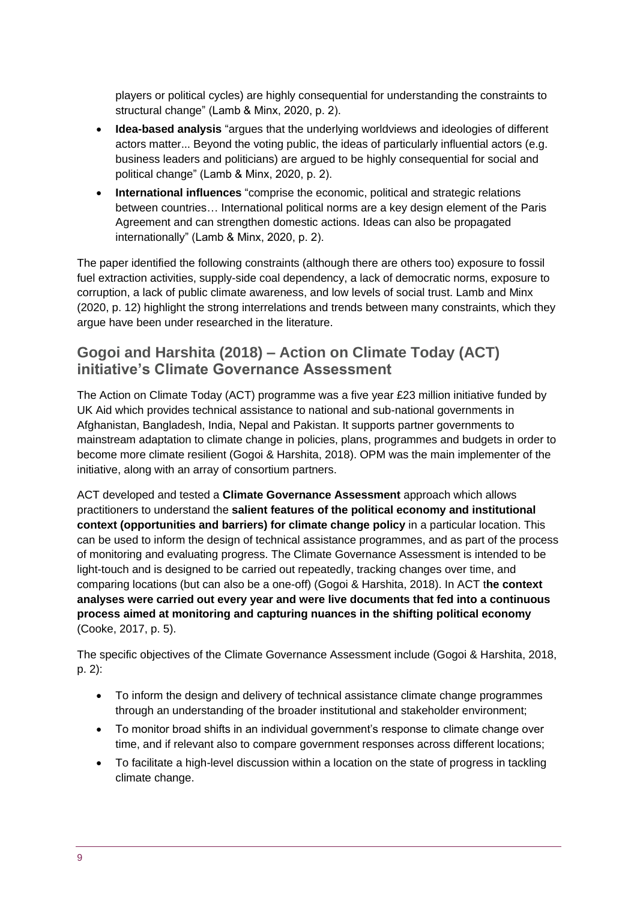players or political cycles) are highly consequential for understanding the constraints to structural change" (Lamb & Minx, 2020, p. 2).

- **Idea-based analysis** "argues that the underlying worldviews and ideologies of different actors matter... Beyond the voting public, the ideas of particularly influential actors (e.g. business leaders and politicians) are argued to be highly consequential for social and political change" (Lamb & Minx, 2020, p. 2).
- **International influences** "comprise the economic, political and strategic relations between countries… International political norms are a key design element of the Paris Agreement and can strengthen domestic actions. Ideas can also be propagated internationally" (Lamb & Minx, 2020, p. 2).

The paper identified the following constraints (although there are others too) exposure to fossil fuel extraction activities, supply-side coal dependency, a lack of democratic norms, exposure to corruption, a lack of public climate awareness, and low levels of social trust. Lamb and Minx (2020, p. 12) highlight the strong interrelations and trends between many constraints, which they argue have been under researched in the literature.

#### **Gogoi and Harshita (2018) – Action on Climate Today (ACT) initiative's Climate Governance Assessment**

The Action on Climate Today (ACT) programme was a five year £23 million initiative funded by UK Aid which provides technical assistance to national and sub-national governments in Afghanistan, Bangladesh, India, Nepal and Pakistan. It supports partner governments to mainstream adaptation to climate change in policies, plans, programmes and budgets in order to become more climate resilient (Gogoi & Harshita, 2018). OPM was the main implementer of the initiative, along with an array of consortium partners.

ACT developed and tested a **Climate Governance Assessment** approach which allows practitioners to understand the **salient features of the political economy and institutional context (opportunities and barriers) for climate change policy** in a particular location. This can be used to inform the design of technical assistance programmes, and as part of the process of monitoring and evaluating progress. The Climate Governance Assessment is intended to be light-touch and is designed to be carried out repeatedly, tracking changes over time, and comparing locations (but can also be a one-off) (Gogoi & Harshita, 2018). In ACT t**he context analyses were carried out every year and were live documents that fed into a continuous process aimed at monitoring and capturing nuances in the shifting political economy**  (Cooke, 2017, p. 5).

The specific objectives of the Climate Governance Assessment include (Gogoi & Harshita, 2018, p. 2):

- To inform the design and delivery of technical assistance climate change programmes through an understanding of the broader institutional and stakeholder environment;
- To monitor broad shifts in an individual government's response to climate change over time, and if relevant also to compare government responses across different locations;
- To facilitate a high-level discussion within a location on the state of progress in tackling climate change.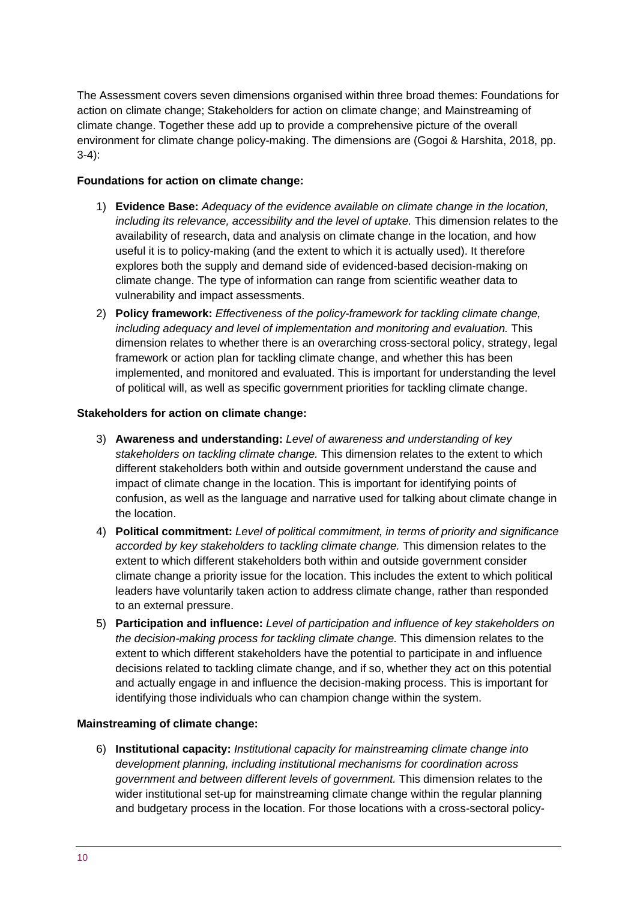The Assessment covers seven dimensions organised within three broad themes: Foundations for action on climate change; Stakeholders for action on climate change; and Mainstreaming of climate change. Together these add up to provide a comprehensive picture of the overall environment for climate change policy-making. The dimensions are (Gogoi & Harshita, 2018, pp. 3-4):

#### **Foundations for action on climate change:**

- 1) **Evidence Base:** *Adequacy of the evidence available on climate change in the location, including its relevance, accessibility and the level of uptake.* This dimension relates to the availability of research, data and analysis on climate change in the location, and how useful it is to policy-making (and the extent to which it is actually used). It therefore explores both the supply and demand side of evidenced-based decision-making on climate change. The type of information can range from scientific weather data to vulnerability and impact assessments.
- 2) **Policy framework:** *Effectiveness of the policy-framework for tackling climate change, including adequacy and level of implementation and monitoring and evaluation.* This dimension relates to whether there is an overarching cross-sectoral policy, strategy, legal framework or action plan for tackling climate change, and whether this has been implemented, and monitored and evaluated. This is important for understanding the level of political will, as well as specific government priorities for tackling climate change.

#### **Stakeholders for action on climate change:**

- 3) **Awareness and understanding:** *Level of awareness and understanding of key stakeholders on tackling climate change.* This dimension relates to the extent to which different stakeholders both within and outside government understand the cause and impact of climate change in the location. This is important for identifying points of confusion, as well as the language and narrative used for talking about climate change in the location.
- 4) **Political commitment:** *Level of political commitment, in terms of priority and significance accorded by key stakeholders to tackling climate change.* This dimension relates to the extent to which different stakeholders both within and outside government consider climate change a priority issue for the location. This includes the extent to which political leaders have voluntarily taken action to address climate change, rather than responded to an external pressure.
- 5) **Participation and influence:** *Level of participation and influence of key stakeholders on the decision-making process for tackling climate change.* This dimension relates to the extent to which different stakeholders have the potential to participate in and influence decisions related to tackling climate change, and if so, whether they act on this potential and actually engage in and influence the decision-making process. This is important for identifying those individuals who can champion change within the system.

#### **Mainstreaming of climate change:**

6) **Institutional capacity:** *Institutional capacity for mainstreaming climate change into development planning, including institutional mechanisms for coordination across government and between different levels of government.* This dimension relates to the wider institutional set-up for mainstreaming climate change within the regular planning and budgetary process in the location. For those locations with a cross-sectoral policy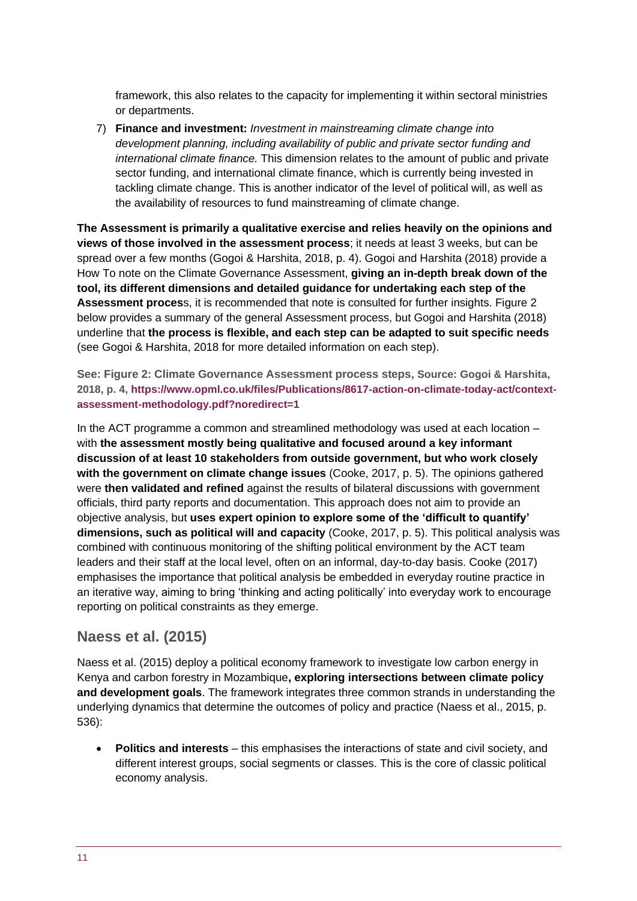framework, this also relates to the capacity for implementing it within sectoral ministries or departments.

7) **Finance and investment:** *Investment in mainstreaming climate change into development planning, including availability of public and private sector funding and international climate finance.* This dimension relates to the amount of public and private sector funding, and international climate finance, which is currently being invested in tackling climate change. This is another indicator of the level of political will, as well as the availability of resources to fund mainstreaming of climate change.

**The Assessment is primarily a qualitative exercise and relies heavily on the opinions and views of those involved in the assessment process**; it needs at least 3 weeks, but can be spread over a few months (Gogoi & Harshita, 2018, p. 4). Gogoi and Harshita (2018) provide a How To note on the Climate Governance Assessment, **giving an in-depth break down of the tool, its different dimensions and detailed guidance for undertaking each step of the Assessment process**, it is recommended that note is consulted for further insights. Figure 2 below provides a summary of the general Assessment process, but Gogoi and Harshita (2018) underline that **the process is flexible, and each step can be adapted to suit specific needs** (see Gogoi & Harshita, 2018 for more detailed information on each step).

**See: Figure 2: Climate Governance Assessment process steps, Source: Gogoi & Harshita, 2018, p. 4, [https://www.opml.co.uk/files/Publications/8617-action-on-climate-today-act/context](https://www.opml.co.uk/files/Publications/8617-action-on-climate-today-act/context-assessment-methodology.pdf?noredirect=1)[assessment-methodology.pdf?noredirect=1](https://www.opml.co.uk/files/Publications/8617-action-on-climate-today-act/context-assessment-methodology.pdf?noredirect=1)**

In the ACT programme a common and streamlined methodology was used at each location – with **the assessment mostly being qualitative and focused around a key informant discussion of at least 10 stakeholders from outside government, but who work closely with the government on climate change issues** (Cooke, 2017, p. 5). The opinions gathered were **then validated and refined** against the results of bilateral discussions with government officials, third party reports and documentation. This approach does not aim to provide an objective analysis, but **uses expert opinion to explore some of the 'difficult to quantify' dimensions, such as political will and capacity** (Cooke, 2017, p. 5). This political analysis was combined with continuous monitoring of the shifting political environment by the ACT team leaders and their staff at the local level, often on an informal, day-to-day basis. Cooke (2017) emphasises the importance that political analysis be embedded in everyday routine practice in an iterative way, aiming to bring 'thinking and acting politically' into everyday work to encourage reporting on political constraints as they emerge.

#### **Naess et al. (2015)**

Naess et al. (2015) deploy a political economy framework to investigate low carbon energy in Kenya and carbon forestry in Mozambique**, exploring intersections between climate policy and development goals**. The framework integrates three common strands in understanding the underlying dynamics that determine the outcomes of policy and practice (Naess et al., 2015, p. 536):

• **Politics and interests** – this emphasises the interactions of state and civil society, and different interest groups, social segments or classes. This is the core of classic political economy analysis.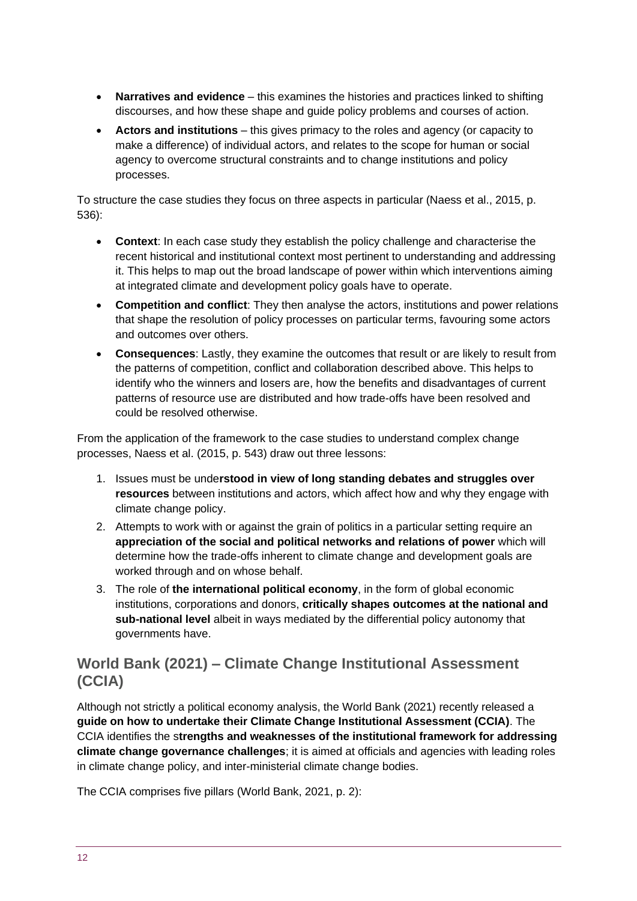- **Narratives and evidence** this examines the histories and practices linked to shifting discourses, and how these shape and guide policy problems and courses of action.
- **Actors and institutions** this gives primacy to the roles and agency (or capacity to make a difference) of individual actors, and relates to the scope for human or social agency to overcome structural constraints and to change institutions and policy processes.

To structure the case studies they focus on three aspects in particular (Naess et al., 2015, p. 536):

- **Context**: In each case study they establish the policy challenge and characterise the recent historical and institutional context most pertinent to understanding and addressing it. This helps to map out the broad landscape of power within which interventions aiming at integrated climate and development policy goals have to operate.
- **Competition and conflict**: They then analyse the actors, institutions and power relations that shape the resolution of policy processes on particular terms, favouring some actors and outcomes over others.
- **Consequences**: Lastly, they examine the outcomes that result or are likely to result from the patterns of competition, conflict and collaboration described above. This helps to identify who the winners and losers are, how the benefits and disadvantages of current patterns of resource use are distributed and how trade-offs have been resolved and could be resolved otherwise.

From the application of the framework to the case studies to understand complex change processes, Naess et al. (2015, p. 543) draw out three lessons:

- 1. Issues must be unde**rstood in view of long standing debates and struggles over resources** between institutions and actors, which affect how and why they engage with climate change policy.
- 2. Attempts to work with or against the grain of politics in a particular setting require an **appreciation of the social and political networks and relations of power** which will determine how the trade-offs inherent to climate change and development goals are worked through and on whose behalf.
- 3. The role of **the international political economy**, in the form of global economic institutions, corporations and donors, **critically shapes outcomes at the national and sub-national level** albeit in ways mediated by the differential policy autonomy that governments have.

#### **World Bank (2021) – Climate Change Institutional Assessment (CCIA)**

Although not strictly a political economy analysis, the World Bank (2021) recently released a **guide on how to undertake their Climate Change Institutional Assessment (CCIA)**. The CCIA identifies the s**trengths and weaknesses of the institutional framework for addressing climate change governance challenges**; it is aimed at officials and agencies with leading roles in climate change policy, and inter-ministerial climate change bodies.

The CCIA comprises five pillars (World Bank, 2021, p. 2):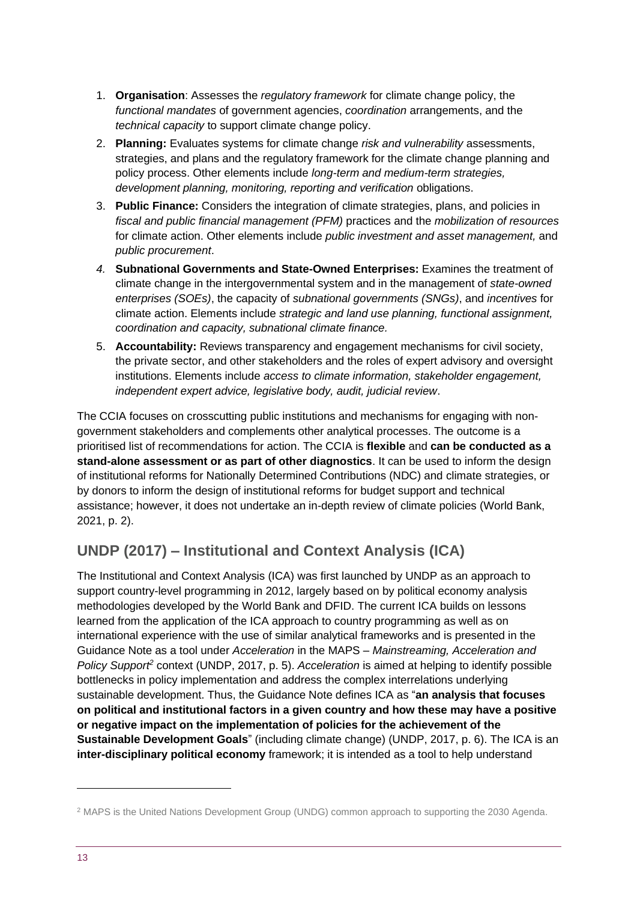- 1. **Organisation**: Assesses the *regulatory framework* for climate change policy, the *functional mandates* of government agencies, *coordination* arrangements, and the *technical capacity* to support climate change policy.
- 2. **Planning:** Evaluates systems for climate change *risk and vulnerability* assessments, strategies, and plans and the regulatory framework for the climate change planning and policy process. Other elements include *long-term and medium-term strategies, development planning, monitoring, reporting and verification* obligations.
- 3. **Public Finance:** Considers the integration of climate strategies, plans, and policies in *fiscal and public financial management (PFM)* practices and the *mobilization of resources* for climate action. Other elements include *public investment and asset management,* and *public procurement*.
- *4.* **Subnational Governments and State-Owned Enterprises:** Examines the treatment of climate change in the intergovernmental system and in the management of *state-owned enterprises (SOEs)*, the capacity of *subnational governments (SNGs)*, and *incentives* for climate action. Elements include *strategic and land use planning, functional assignment, coordination and capacity, subnational climate finance.*
- 5. **Accountability:** Reviews transparency and engagement mechanisms for civil society, the private sector, and other stakeholders and the roles of expert advisory and oversight institutions. Elements include *access to climate information, stakeholder engagement, independent expert advice, legislative body, audit, judicial review*.

The CCIA focuses on crosscutting public institutions and mechanisms for engaging with nongovernment stakeholders and complements other analytical processes. The outcome is a prioritised list of recommendations for action. The CCIA is **flexible** and **can be conducted as a stand-alone assessment or as part of other diagnostics**. It can be used to inform the design of institutional reforms for Nationally Determined Contributions (NDC) and climate strategies, or by donors to inform the design of institutional reforms for budget support and technical assistance; however, it does not undertake an in-depth review of climate policies (World Bank, 2021, p. 2).

# **UNDP (2017) – Institutional and Context Analysis (ICA)**

The Institutional and Context Analysis (ICA) was first launched by UNDP as an approach to support country-level programming in 2012, largely based on by political economy analysis methodologies developed by the World Bank and DFID. The current ICA builds on lessons learned from the application of the ICA approach to country programming as well as on international experience with the use of similar analytical frameworks and is presented in the Guidance Note as a tool under *Acceleration* in the MAPS – *Mainstreaming, Acceleration and Policy Support<sup>2</sup>* context (UNDP, 2017, p. 5). *Acceleration* is aimed at helping to identify possible bottlenecks in policy implementation and address the complex interrelations underlying sustainable development. Thus, the Guidance Note defines ICA as "**an analysis that focuses on political and institutional factors in a given country and how these may have a positive or negative impact on the implementation of policies for the achievement of the Sustainable Development Goals**" (including climate change) (UNDP, 2017, p. 6). The ICA is an **inter-disciplinary political economy** framework; it is intended as a tool to help understand

<sup>2</sup> MAPS is the United Nations Development Group (UNDG) common approach to supporting the 2030 Agenda.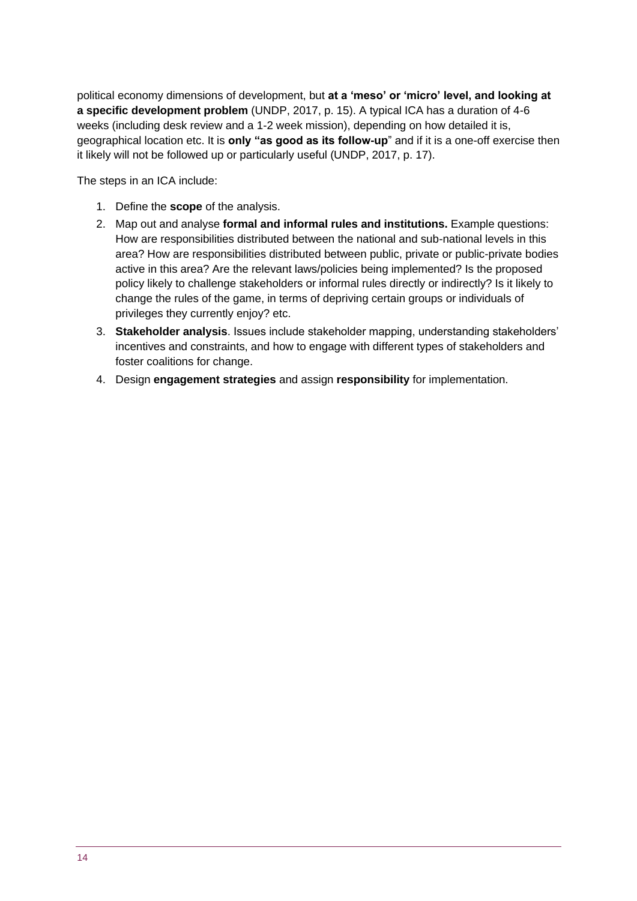political economy dimensions of development, but **at a 'meso' or 'micro' level, and looking at a specific development problem** (UNDP, 2017, p. 15). A typical ICA has a duration of 4-6 weeks (including desk review and a 1-2 week mission), depending on how detailed it is, geographical location etc. It is **only "as good as its follow-up**" and if it is a one-off exercise then it likely will not be followed up or particularly useful (UNDP, 2017, p. 17).

The steps in an ICA include:

- 1. Define the **scope** of the analysis.
- 2. Map out and analyse **formal and informal rules and institutions.** Example questions: How are responsibilities distributed between the national and sub-national levels in this area? How are responsibilities distributed between public, private or public-private bodies active in this area? Are the relevant laws/policies being implemented? Is the proposed policy likely to challenge stakeholders or informal rules directly or indirectly? Is it likely to change the rules of the game, in terms of depriving certain groups or individuals of privileges they currently enjoy? etc.
- 3. **Stakeholder analysis**. Issues include stakeholder mapping, understanding stakeholders' incentives and constraints, and how to engage with different types of stakeholders and foster coalitions for change.
- 4. Design **engagement strategies** and assign **responsibility** for implementation.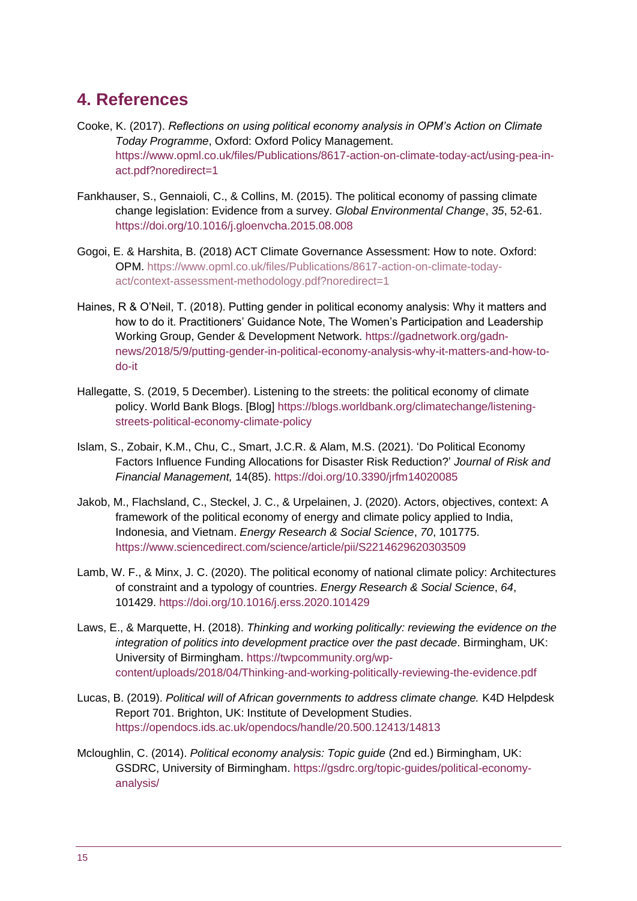# <span id="page-14-0"></span>**4. References**

- Cooke, K. (2017). *Reflections on using political economy analysis in OPM's Action on Climate Today Programme*, Oxford: Oxford Policy Management. [https://www.opml.co.uk/files/Publications/8617-action-on-climate-today-act/using-pea-in](https://www.opml.co.uk/files/Publications/8617-action-on-climate-today-act/using-pea-in-act.pdf?noredirect=1)[act.pdf?noredirect=1](https://www.opml.co.uk/files/Publications/8617-action-on-climate-today-act/using-pea-in-act.pdf?noredirect=1)
- Fankhauser, S., Gennaioli, C., & Collins, M. (2015). The political economy of passing climate change legislation: Evidence from a survey. *Global Environmental Change*, *35*, 52-61. <https://doi.org/10.1016/j.gloenvcha.2015.08.008>
- Gogoi, E. & Harshita, B. (2018) ACT Climate Governance Assessment: How to note. Oxford: OPM. [https://www.opml.co.uk/files/Publications/8617-action-on-climate-today](https://www.opml.co.uk/files/Publications/8617-action-on-climate-today-act/context-assessment-methodology.pdf?noredirect=1)[act/context-assessment-methodology.pdf?noredirect=1](https://www.opml.co.uk/files/Publications/8617-action-on-climate-today-act/context-assessment-methodology.pdf?noredirect=1)
- Haines, R & O'Neil, T. (2018). Putting gender in political economy analysis: Why it matters and how to do it. Practitioners' Guidance Note, The Women's Participation and Leadership Working Group, Gender & Development Network. [https://gadnetwork.org/gadn](https://gadnetwork.org/gadn-news/2018/5/9/putting-gender-in-political-economy-analysis-why-it-matters-and-how-to-do-it)[news/2018/5/9/putting-gender-in-political-economy-analysis-why-it-matters-and-how-to](https://gadnetwork.org/gadn-news/2018/5/9/putting-gender-in-political-economy-analysis-why-it-matters-and-how-to-do-it)[do-it](https://gadnetwork.org/gadn-news/2018/5/9/putting-gender-in-political-economy-analysis-why-it-matters-and-how-to-do-it)
- Hallegatte, S. (2019, 5 December). Listening to the streets: the political economy of climate policy. World Bank Blogs. [Blog] [https://blogs.worldbank.org/climatechange/listening](https://blogs.worldbank.org/climatechange/listening-streets-political-economy-climate-policy)[streets-political-economy-climate-policy](https://blogs.worldbank.org/climatechange/listening-streets-political-economy-climate-policy)
- Islam, S., Zobair, K.M., Chu, C., Smart, J.C.R. & Alam, M.S. (2021). 'Do Political Economy Factors Influence Funding Allocations for Disaster Risk Reduction?' *Journal of Risk and Financial Management,* 14(85). <https://doi.org/10.3390/jrfm14020085>
- Jakob, M., Flachsland, C., Steckel, J. C., & Urpelainen, J. (2020). Actors, objectives, context: A framework of the political economy of energy and climate policy applied to India, Indonesia, and Vietnam. *Energy Research & Social Science*, *70*, 101775. <https://www.sciencedirect.com/science/article/pii/S2214629620303509>
- Lamb, W. F., & Minx, J. C. (2020). The political economy of national climate policy: Architectures of constraint and a typology of countries. *Energy Research & Social Science*, *64*, 101429.<https://doi.org/10.1016/j.erss.2020.101429>
- Laws, E., & Marquette, H. (2018). *Thinking and working politically: reviewing the evidence on the integration of politics into development practice over the past decade*. Birmingham, UK: University of Birmingham. [https://twpcommunity.org/wp](https://twpcommunity.org/wp-content/uploads/2018/04/Thinking-and-working-politically-reviewing-the-evidence.pdf)[content/uploads/2018/04/Thinking-and-working-politically-reviewing-the-evidence.pdf](https://twpcommunity.org/wp-content/uploads/2018/04/Thinking-and-working-politically-reviewing-the-evidence.pdf)
- Lucas, B. (2019). *Political will of African governments to address climate change.* K4D Helpdesk Report 701. Brighton, UK: Institute of Development Studies. <https://opendocs.ids.ac.uk/opendocs/handle/20.500.12413/14813>
- Mcloughlin, C. (2014). *Political economy analysis: Topic guide* (2nd ed.) Birmingham, UK: GSDRC, University of Birmingham. [https://gsdrc.org/topic-guides/political-economy](https://gsdrc.org/topic-guides/political-economy-analysis/)[analysis/](https://gsdrc.org/topic-guides/political-economy-analysis/)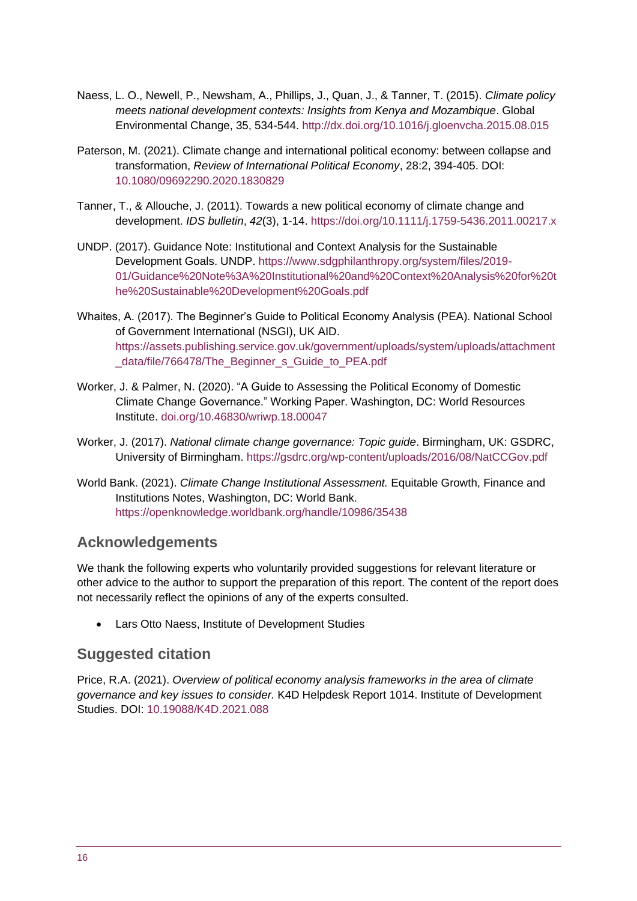- Naess, L. O., Newell, P., Newsham, A., Phillips, J., Quan, J., & Tanner, T. (2015). *Climate policy meets national development contexts: Insights from Kenya and Mozambique*. Global Environmental Change, 35, 534-544.<http://dx.doi.org/10.1016/j.gloenvcha.2015.08.015>
- Paterson, M. (2021). Climate change and international political economy: between collapse and transformation, *Review of International Political Economy*, 28:2, 394-405. DOI: [10.1080/09692290.2020.1830829](https://doi.org/10.1080/09692290.2020.1830829)
- Tanner, T., & Allouche, J. (2011). Towards a new political economy of climate change and development. *IDS bulletin*, *42*(3), 1-14. <https://doi.org/10.1111/j.1759-5436.2011.00217.x>
- UNDP. (2017). Guidance Note: Institutional and Context Analysis for the Sustainable Development Goals. UNDP. [https://www.sdgphilanthropy.org/system/files/2019-](https://www.sdgphilanthropy.org/system/files/2019-01/Guidance%20Note%3A%20Institutional%20and%20Context%20Analysis%20for%20the%20Sustainable%20Development%20Goals.pdf) [01/Guidance%20Note%3A%20Institutional%20and%20Context%20Analysis%20for%20t](https://www.sdgphilanthropy.org/system/files/2019-01/Guidance%20Note%3A%20Institutional%20and%20Context%20Analysis%20for%20the%20Sustainable%20Development%20Goals.pdf) [he%20Sustainable%20Development%20Goals.pdf](https://www.sdgphilanthropy.org/system/files/2019-01/Guidance%20Note%3A%20Institutional%20and%20Context%20Analysis%20for%20the%20Sustainable%20Development%20Goals.pdf)
- Whaites, A. (2017). The Beginner's Guide to Political Economy Analysis (PEA). National School of Government International (NSGI), UK AID. [https://assets.publishing.service.gov.uk/government/uploads/system/uploads/attachment](https://assets.publishing.service.gov.uk/government/uploads/system/uploads/attachment_data/file/766478/The_Beginner_s_Guide_to_PEA.pdf) data/file/766478/The Beginner s Guide to PEA.pdf
- Worker, J. & Palmer, N. (2020). "A Guide to Assessing the Political Economy of Domestic Climate Change Governance." Working Paper. Washington, DC: World Resources Institute. [doi.org/10.46830/wriwp.18.00047](https://www.wri.org/research/guide-assessing-political-economy-domestic-climate-change-governance)
- Worker, J. (2017). *National climate change governance: Topic guide*. Birmingham, UK: GSDRC, University of Birmingham. <https://gsdrc.org/wp-content/uploads/2016/08/NatCCGov.pdf>
- World Bank. (2021). *Climate Change Institutional Assessment.* Equitable Growth, Finance and Institutions Notes, Washington, DC: World Bank. <https://openknowledge.worldbank.org/handle/10986/35438>

#### **Acknowledgements**

We thank the following experts who voluntarily provided suggestions for relevant literature or other advice to the author to support the preparation of this report. The content of the report does not necessarily reflect the opinions of any of the experts consulted.

• Lars Otto Naess, Institute of Development Studies

#### **Suggested citation**

Price, R.A. (2021). *Overview of political economy analysis frameworks in the area of climate governance and key issues to consider.* K4D Helpdesk Report 1014. Institute of Development Studies. DOI: [10.19088/K4D.2021.088](https://doi.org/10.19088/K4D.2021.088)